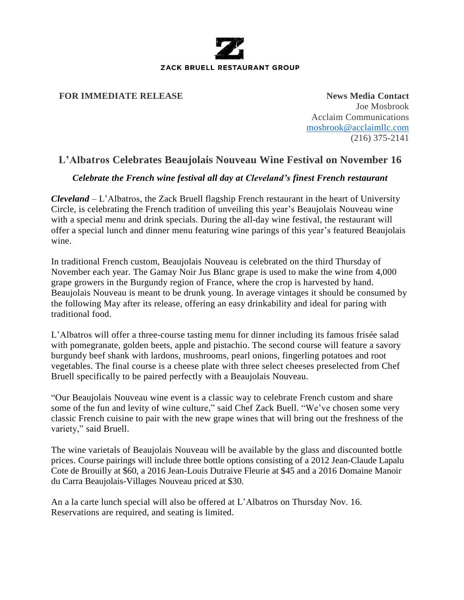

## **FOR IMMEDIATE RELEASE News Media** Contact

Joe Mosbrook Acclaim Communications [mosbrook@acclaimllc.com](mailto:mosbrook@acclaimllc.com) (216) 375-2141

## **L'Albatros Celebrates Beaujolais Nouveau Wine Festival on November 16**

## *Celebrate the French wine festival all day at Cleveland's finest French restaurant*

*Cleveland* – L'Albatros, the Zack Bruell flagship French restaurant in the heart of University Circle, is celebrating the French tradition of unveiling this year's Beaujolais Nouveau wine with a special menu and drink specials. During the all-day wine festival, the restaurant will offer a special lunch and dinner menu featuring wine parings of this year's featured Beaujolais wine.

In traditional French custom, Beaujolais Nouveau is celebrated on the third Thursday of November each year. The Gamay Noir Jus Blanc grape is used to make the wine from 4,000 grape growers in the Burgundy region of France, where the crop is harvested by hand. Beaujolais Nouveau is meant to be drunk young. In average vintages it should be consumed by the following May after its release, offering an easy drinkability and ideal for paring with traditional food.

L'Albatros will offer a three-course tasting menu for dinner including its famous frisée salad with pomegranate, golden beets, apple and pistachio. The second course will feature a savory burgundy beef shank with lardons, mushrooms, pearl onions, fingerling potatoes and root vegetables. The final course is a cheese plate with three select cheeses preselected from Chef Bruell specifically to be paired perfectly with a Beaujolais Nouveau.

"Our Beaujolais Nouveau wine event is a classic way to celebrate French custom and share some of the fun and levity of wine culture," said Chef Zack Buell. "We've chosen some very classic French cuisine to pair with the new grape wines that will bring out the freshness of the variety," said Bruell.

The wine varietals of Beaujolais Nouveau will be available by the glass and discounted bottle prices. Course pairings will include three bottle options consisting of a 2012 Jean-Claude Lapalu Cote de Brouilly at \$60, a 2016 Jean-Louis Dutraive Fleurie at \$45 and a 2016 Domaine Manoir du Carra Beaujolais-Villages Nouveau priced at \$30.

An a la carte lunch special will also be offered at L'Albatros on Thursday Nov. 16. Reservations are required, and seating is limited.